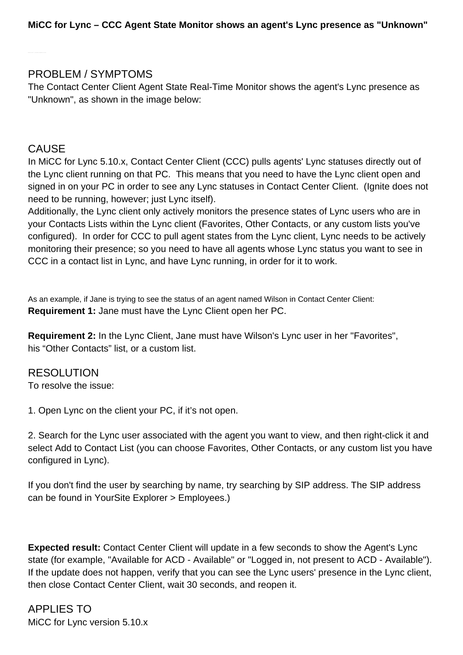## PROBLEM / SYMPTOMS

The Contact Center Client Agent State Real-Time Monitor shows the agent's Lync presence as "Unknown", as shown in the image below:

## CAUSE

In MiCC for Lync 5.10.x, Contact Center Client (CCC) pulls agents' Lync statuses directly out of the Lync client running on that PC. This means that you need to have the Lync client open and signed in on your PC in order to see any Lync statuses in Contact Center Client. (Ignite does not need to be running, however; just Lync itself).

Additionally, the Lync client only actively monitors the presence states of Lync users who are in your Contacts Lists within the Lync client (Favorites, Other Contacts, or any custom lists you've configured). In order for CCC to pull agent states from the Lync client, Lync needs to be actively monitoring their presence; so you need to have all agents whose Lync status you want to see in CCC in a contact list in Lync, and have Lync running, in order for it to work.

As an example, if Jane is trying to see the status of an agent named Wilson in Contact Center Client: **Requirement 1:** Jane must have the Lync Client open her PC.

**Requirement 2:** In the Lync Client, Jane must have Wilson's Lync user in her "Favorites", his "Other Contacts" list, or a custom list.

RESOLUTION To resolve the issue:

1. Open Lync on the client your PC, if it's not open.

2. Search for the Lync user associated with the agent you want to view, and then right-click it and select Add to Contact List (you can choose Favorites, Other Contacts, or any custom list you have configured in Lync).

If you don't find the user by searching by name, try searching by SIP address. The SIP address can be found in YourSite Explorer > Employees.)

**Expected result:** Contact Center Client will update in a few seconds to show the Agent's Lync state (for example, "Available for ACD - Available" or "Logged in, not present to ACD - Available"). If the update does not happen, verify that you can see the Lync users' presence in the Lync client, then close Contact Center Client, wait 30 seconds, and reopen it.

APPLIES TO MiCC for Lync version 5.10.x